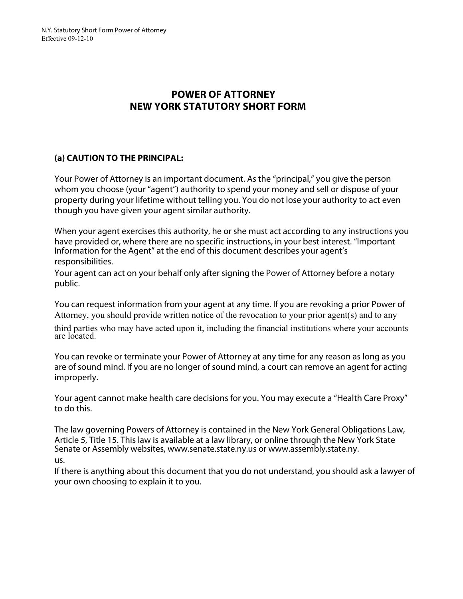# **POWER OF ATTORNEY NEW YORK STATUTORY SHORT FORM**

### **(a) CAUTION TO THE PRINCIPAL:**

Your Power of Attorney is an important document. As the "principal," you give the person whom you choose (your "agent") authority to spend your money and sell or dispose of your property during your lifetime without telling you. You do not lose your authority to act even though you have given your agent similar authority.

When your agent exercises this authority, he or she must act according to any instructions you have provided or, where there are no specific instructions, in your best interest. "Important Information for the Agent" at the end of this document describes your agent's responsibilities.

Your agent can act on your behalf only after signing the Power of Attorney before a notary public.

You can request information from your agent at any time. If you are revoking a prior Power of Attorney, you should provide written notice of the revocation to your prior agent(s) and to any

third parties who may have acted upon it, including the financial institutions where your accounts are located.

You can revoke or terminate your Power of Attorney at any time for any reason as long as you are of sound mind. If you are no longer of sound mind, a court can remove an agent for acting improperly.

Your agent cannot make health care decisions for you. You may execute a "Health Care Proxy" to do this.

The law governing Powers of Attorney is contained in the New York General Obligations Law, Article 5, Title 15. This law is available at a law library, or online through the New York State Senate or Assembly websites, www.senate.state.ny.us or www.assembly.state.ny. us.

If there is anything about this document that you do not understand, you should ask a lawyer of your own choosing to explain it to you.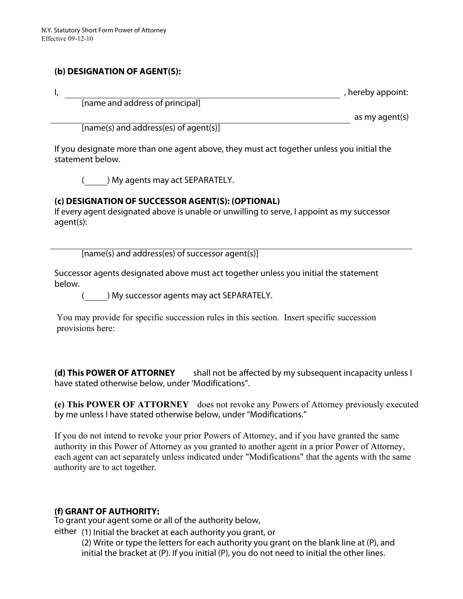### **(b) DESIGNATION OF AGENT(S):**

I, the contract of the contract of the contract of the contract of the contract of the contract of the contract of the contract of the contract of the contract of the contract of the contract of the contract of the contrac

[name and address of principal]

as my agent(s)

[name(s) and address(es) of agent(s)]

If you designate more than one agent above, they must act together unless you initial the statement below.

( ) My agents may act SEPARATELY.

### **(c) DESIGNATION OF SUCCESSOR AGENT(S): (OPTIONAL)**

If every agent designated above is unable or unwilling to serve, I appoint as my successor agent(s):

[name(s) and address(es) of successor agent(s)]

Successor agents designated above must act together unless you initial the statement below.

( ) My successor agents may act SEPARATELY.

You may provide for specific succession rules in this section. Insert specific succession provisions here:

**(d) This POWER OF ATTORNEY** shall not be affected by my subsequent incapacity unless I have stated otherwise below, under 'Modifications".

**(e) This POWER OF ATTORNEY** does not revoke any Powers of Attorney previously executed by me unless I have stated otherwise below, under "Modifications."

If you do not intend to revoke your prior Powers of Attorney, and if you have granted the same authority in this Power of Attorney as you granted to another agent in a prior Power of Attorney, each agent can act separately unless indicated under "Modifications" that the agents with the same authority are to act together.

#### **(f) GRANT OF AUTHORITY:**

To grant your agent some or all of the authority below,

either (1) Initial the bracket at each authority you grant, or

(2) Write or type the letters for each authority you grant on the blank line at (P), and initial the bracket at (P). If you initial (P), you do not need to initial the other lines.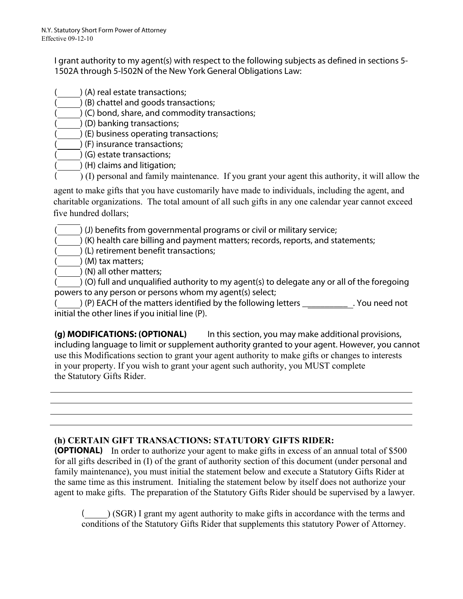I grant authority to my agent(s) with respect to the following subjects as defined in sections 5- 1502A through 5-l502N of the New York General Obligations Law:

- ( ) (A) real estate transactions;
	- ( ) (B) chattel and goods transactions;
	- ( ) (C) bond, share, and commodity transactions;
- (D) banking transactions;
- (E) business operating transactions;
- (F) insurance transactions;
- ( ) (G) estate transactions;
- (H) claims and litigation;
	- ( ) (I) personal and family maintenance. If you grant your agent this authority, it will allow the

agent to make gifts that you have customarily have made to individuals, including the agent, and charitable organizations. The total amount of all such gifts in any one calendar year cannot exceed five hundred dollars;

- ( ) (J) benefits from governmental programs or civil or military service;
- ( ) (K) health care billing and payment matters; records, reports, and statements;
- ( ) (L) retirement benefit transactions;
- (M) tax matters;
- ( ) (N) all other matters;

 $($   $)$  (O) full and unqualified authority to my agent(s) to delegate any or all of the foregoing powers to any person or persons whom my agent(s) select;

( ) (P) EACH of the matters identified by the following letters \_\_\_\_\_\_\_\_\_\_ . You need not initial the other lines if you initial line (P).

**(g) MODIFICATIONS: (OPTIONAL)** In this section, you may make additional provisions, including language to limit or supplement authority granted to your agent. However, you cannot use this Modifications section to grant your agent authority to make gifts or changes to interests in your property. If you wish to grant your agent such authority, you MUST complete the Statutory Gifts Rider.

## **(h) CERTAIN GIFT TRANSACTIONS: STATUTORY GIFTS RIDER:**

**(OPTIONAL)** In order to authorize your agent to make gifts in excess of an annual total of \$500 for all gifts described in (I) of the grant of authority section of this document (under personal and family maintenance), you must initial the statement below and execute a Statutory Gifts Rider at the same time as this instrument. Initialing the statement below by itself does not authorize your agent to make gifts. The preparation of the Statutory Gifts Rider should be supervised by a lawyer.

( ) (SGR) I grant my agent authority to make gifts in accordance with the terms and conditions of the Statutory Gifts Rider that supplements this statutory Power of Attorney.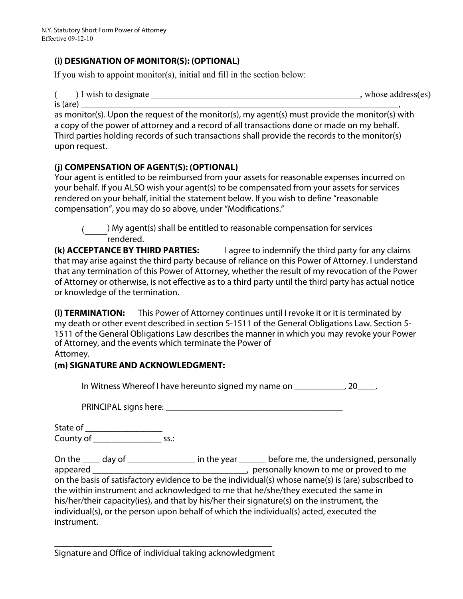### **(i) DESIGNATION OF MONITOR(S): (OPTIONAL)**

If you wish to appoint monitor(s), initial and fill in the section below:

 $($  ) I wish to designate , whose address(es)

 $is (are)$ 

as monitor(s). Upon the request of the monitor(s), my agent(s) must provide the monitor(s) with a copy of the power of attorney and a record of all transactions done or made on my behalf. Third parties holding records of such transactions shall provide the records to the monitor(s) upon request.

### **(j) COMPENSATION OF AGENT(S): (OPTIONAL)**

Your agent is entitled to be reimbursed from your assets for reasonable expenses incurred on your behalf. If you ALSO wish your agent(s) to be compensated from your assets for services rendered on your behalf, initial the statement below. If you wish to define "reasonable compensation", you may do so above, under "Modifications."

( ) My agent(s) shall be entitled to reasonable compensation for services rendered.

**(k) ACCEPTANCE BY THIRD PARTIES:** I agree to indemnify the third party for any claims that may arise against the third party because of reliance on this Power of Attorney. I understand that any termination of this Power of Attorney, whether the result of my revocation of the Power of Attorney or otherwise, is not effective as to a third party until the third party has actual notice or knowledge of the termination.

**(l) TERMINATION:** This Power of Attorney continues until I revoke it or it is terminated by my death or other event described in section 5-1511 of the General Obligations Law. Section 5- 1511 of the General Obligations Law describes the manner in which you may revoke your Power of Attorney, and the events which terminate the Power of Attorney.

### **(m) SIGNATURE AND ACKNOWLEDGMENT:**

In Witness Whereof I have hereunto signed my name on \_\_\_\_\_\_\_\_\_\_\_, 20\_\_\_\_.

PRINCIPAL signs here: \_\_\_\_\_\_\_\_\_\_\_\_\_\_\_\_\_\_\_\_\_\_\_\_\_\_\_\_\_\_\_\_\_\_\_\_\_\_\_

State of \_\_\_\_\_\_\_\_\_\_\_\_\_\_\_\_\_\_\_\_\_\_ County of \_\_\_\_\_\_\_\_\_\_\_\_\_\_\_ ss.:

On the \_\_\_\_ day of \_\_\_\_\_\_\_\_\_\_\_\_\_\_\_\_\_ in the year \_\_\_\_\_\_ before me, the undersigned, personally appeared \_\_\_\_\_\_\_\_\_\_\_\_\_\_\_\_\_\_\_\_\_\_\_\_\_\_\_\_\_\_\_\_\_\_, personally known to me or proved to me on the basis of satisfactory evidence to be the individual(s) whose name(s) is (are) subscribed to the within instrument and acknowledged to me that he/she/they executed the same in his/her/their capacity(ies), and that by his/her their signature(s) on the instrument, the individual(s), or the person upon behalf of which the individual(s) acted, executed the instrument.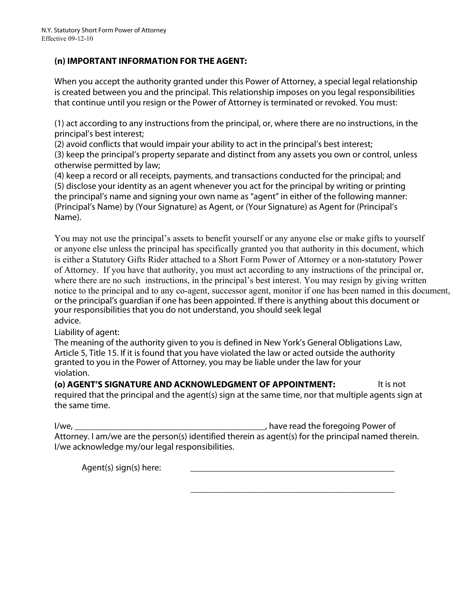### **(n) IMPORTANT INFORMATION FOR THE AGENT:**

When you accept the authority granted under this Power of Attorney, a special legal relationship is created between you and the principal. This relationship imposes on you legal responsibilities that continue until you resign or the Power of Attorney is terminated or revoked. You must:

(1) act according to any instructions from the principal, or, where there are no instructions, in the principal's best interest;

(2) avoid conflicts that would impair your ability to act in the principal's best interest;

(3) keep the principal's property separate and distinct from any assets you own or control, unless otherwise permitted by law;

(4) keep a record or all receipts, payments, and transactions conducted for the principal; and (5) disclose your identity as an agent whenever you act for the principal by writing or printing the principal's name and signing your own name as "agent" in either of the following manner: (Principal's Name) by (Your Signature) as Agent, or (Your Signature) as Agent for (Principal's Name).

You may not use the principal's assets to benefit yourself or any anyone else or make gifts to yourself or anyone else unless the principal has specifically granted you that authority in this document, which is either a Statutory Gifts Rider attached to a Short Form Power of Attorney or a non-statutory Power of Attorney. If you have that authority, you must act according to any instructions of the principal or, where there are no such instructions, in the principal's best interest. You may resign by giving written notice to the principal and to any co-agent, successor agent, monitor if one has been named in this document, or the principal's guardian if one has been appointed. If there is anything about this document or your responsibilities that you do not understand, you should seek legal advice.

#### Liability of agent:

The meaning of the authority given to you is defined in New York's General Obligations Law, Article 5, Title 15. If it is found that you have violated the law or acted outside the authority granted to you in the Power of Attorney, you may be liable under the law for your violation.

**(o) AGENT'S SIGNATURE AND ACKNOWLEDGMENT OF APPOINTMENT:** It is not required that the principal and the agent(s) sign at the same time, nor that multiple agents sign at the same time.

I/we, **I/we** and the foregoing Power of Attorney. I am/we are the person(s) identified therein as agent(s) for the principal named therein. I/we acknowledge my/our legal responsibilities.

\_\_\_\_\_\_\_\_\_\_\_\_\_\_\_\_\_\_\_\_\_\_\_\_\_\_\_\_\_\_\_\_\_\_\_\_\_\_\_\_\_\_\_\_\_

Agent(s) sign(s) here: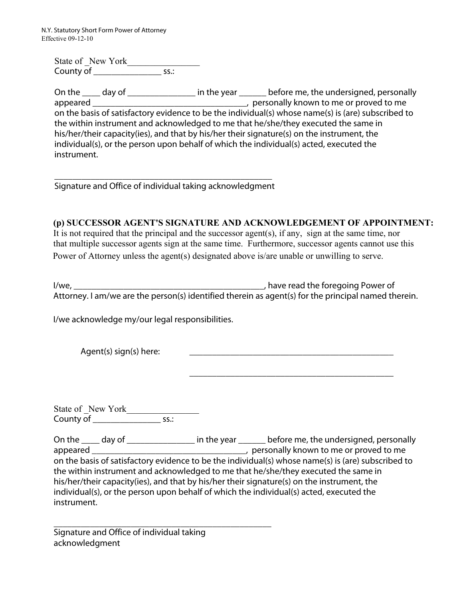N.Y. Statutory Short Form Power of Attorney Effective 09-12-10

State of \_New York\_\_\_\_\_\_\_\_\_\_\_\_\_\_\_\_ County of \_\_\_\_\_\_\_\_\_\_\_\_\_\_\_ ss.:

On the \_\_\_\_ day of \_\_\_\_\_\_\_\_\_\_\_\_\_\_\_\_\_ in the year \_\_\_\_\_\_ before me, the undersigned, personally appeared \_\_\_\_\_\_\_\_\_\_\_\_\_\_\_\_\_\_\_\_\_\_\_\_\_\_\_\_\_\_\_\_\_\_, personally known to me or proved to me on the basis of satisfactory evidence to be the individual(s) whose name(s) is (are) subscribed to the within instrument and acknowledged to me that he/she/they executed the same in his/her/their capacity(ies), and that by his/her their signature(s) on the instrument, the individual(s), or the person upon behalf of which the individual(s) acted, executed the instrument.

\_\_\_\_\_\_\_\_\_\_\_\_\_\_\_\_\_\_\_\_\_\_\_\_\_\_\_\_\_\_\_\_\_\_\_\_\_\_\_\_\_\_\_\_\_\_\_\_ Signature and Office of individual taking acknowledgment

#### **(p) SUCCESSOR AGENT'S SIGNATURE AND ACKNOWLEDGEMENT OF APPOINTMENT:**

It is not required that the principal and the successor agent(s), if any, sign at the same time, nor that multiple successor agents sign at the same time. Furthermore, successor agents cannot use this Power of Attorney unless the agent(s) designated above is/are unable or unwilling to serve.

I/we, \_\_\_\_\_\_\_\_\_\_\_\_\_\_\_\_\_\_\_\_\_\_\_\_\_\_\_\_\_\_\_\_\_\_\_\_\_\_\_\_\_\_, have read the foregoing Power of Attorney. I am/we are the person(s) identified therein as agent(s) for the principal named therein.

\_\_\_\_\_\_\_\_\_\_\_\_\_\_\_\_\_\_\_\_\_\_\_\_\_\_\_\_\_\_\_\_\_\_\_\_\_\_\_\_\_\_\_\_\_

I/we acknowledge my/our legal responsibilities.

Agent(s) sign(s) here:

State of \_New York\_\_\_\_\_\_\_\_\_\_\_\_\_\_\_\_ County of \_\_\_\_\_\_\_\_\_\_\_\_\_\_\_ ss.:

On the \_\_\_\_ day of \_\_\_\_\_\_\_\_\_\_\_\_\_\_\_\_ in the year \_\_\_\_\_\_ before me, the undersigned, personally appeared \_\_\_\_\_\_\_\_\_\_\_\_\_\_\_\_\_\_\_\_\_\_\_\_\_\_\_\_\_\_\_\_\_\_, personally known to me or proved to me on the basis of satisfactory evidence to be the individual(s) whose name(s) is (are) subscribed to the within instrument and acknowledged to me that he/she/they executed the same in his/her/their capacity(ies), and that by his/her their signature(s) on the instrument, the individual(s), or the person upon behalf of which the individual(s) acted, executed the instrument.

\_\_\_\_\_\_\_\_\_\_\_\_\_\_\_\_\_\_\_\_\_\_\_\_\_\_\_\_\_\_\_\_\_\_\_\_\_\_\_\_\_\_\_\_\_\_\_\_ Signature and Office of individual taking acknowledgment